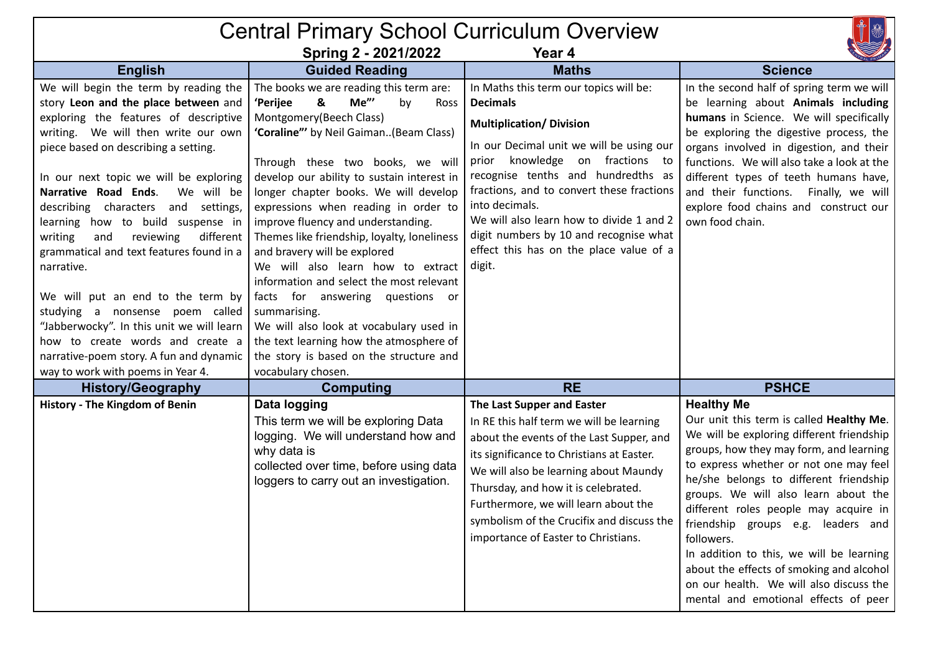## Central Primary School Curriculum Overview **Spring 2 - 2021/2022 Year 4 English Guided Reading Maths Science** We will begin the term by reading the story **Leon and the place between** and exploring the features of descriptive writing. We will then write our own piece based on describing a setting. In our next topic we will be exploring **Narrative Road Ends**. We will be describing characters and settings, learning how to build suspense in writing and reviewing different grammatical and text features found in a narrative. We will put an end to the term by studying a nonsense poem called "Jabberwocky". In this unit we will learn how to create words and create a narrative-poem story. A fun and dynamic way to work with poems in Year 4. The books we are reading this term are: **'Perijee & Me"'** by Ross Montgomery(Beech Class) **'Coraline"'** by Neil Gaiman..(Beam Class) Through these two books, we will develop our ability to sustain interest in longer chapter books. We will develop expressions when reading in order to improve fluency and understanding. Themes like friendship, loyalty, loneliness and bravery will be explored We will also learn how to extract information and select the most relevant facts for answering questions or summarising. We will also look at vocabulary used in the text learning how the atmosphere of the story is based on the structure and vocabulary chosen. In Maths this term our topics will be: **Decimals Multiplication/ Division** In our Decimal unit we will be using our prior knowledge on fractions to recognise tenths and hundredths as fractions, and to convert these fractions into decimals. We will also learn how to divide 1 and 2 digit numbers by 10 and recognise what effect this has on the place value of a digit. In the second half of spring term we will be learning about **Animals including humans** in Science. We will specifically be exploring the digestive process, the organs involved in digestion, and their functions. We will also take a look at the different types of teeth humans have, and their functions. Finally, we will explore food chains and construct our own food chain. **History/Geography Computing RE PSHCE History - The Kingdom of Benin Data logging** This term we will be exploring Data logging. We will understand how and why data is collected over time, before using data loggers to carry out an investigation. **The Last Supper and Easter** In RE this half term we will be learning about the events of the Last Supper, and its significance to Christians at Easter. We will also be learning about Maundy Thursday, and how it is celebrated. Furthermore, we will learn about the symbolism of the Crucifix and discuss the importance of Easter to Christians. **Healthy Me** Our unit this term is called **Healthy Me**. We will be exploring different friendship groups, how they may form, and learning to express whether or not one may feel he/she belongs to different friendship groups. We will also learn about the different roles people may acquire in friendship groups e.g. leaders and followers. In addition to this, we will be learning about the effects of smoking and alcohol on our health. We will also discuss the mental and emotional effects of peer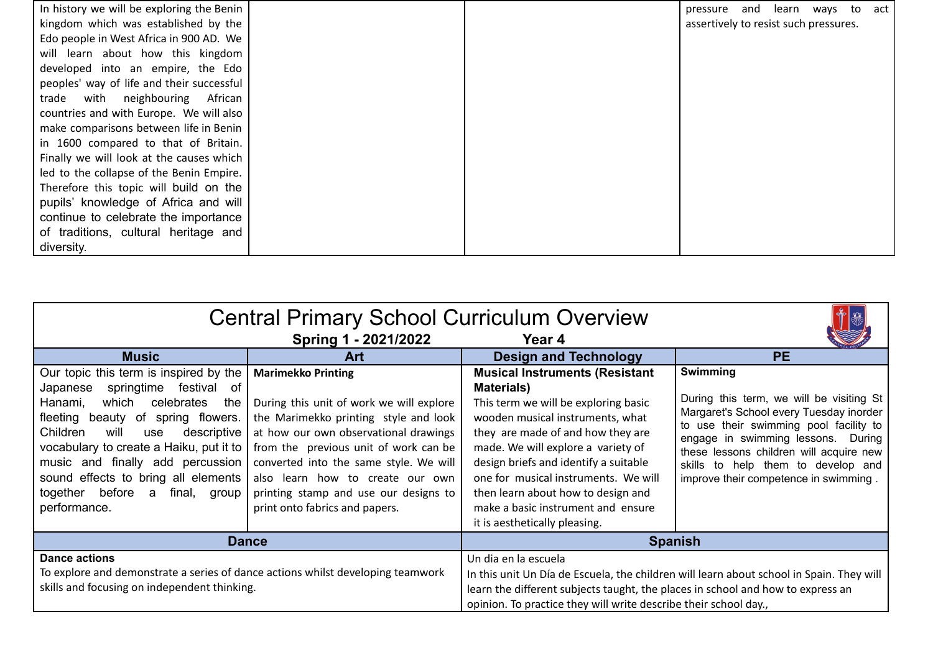| In history we will be exploring the Benin |  | to<br>learn ways<br>act<br>and<br>pressure |
|-------------------------------------------|--|--------------------------------------------|
| kingdom which was established by the      |  | assertively to resist such pressures.      |
| Edo people in West Africa in 900 AD. We   |  |                                            |
| will learn about how this kingdom         |  |                                            |
| developed into an empire, the Edo         |  |                                            |
| peoples' way of life and their successful |  |                                            |
| trade with neighbouring African           |  |                                            |
| countries and with Europe. We will also   |  |                                            |
| make comparisons between life in Benin    |  |                                            |
| in 1600 compared to that of Britain.      |  |                                            |
| Finally we will look at the causes which  |  |                                            |
| led to the collapse of the Benin Empire.  |  |                                            |
| Therefore this topic will build on the    |  |                                            |
| pupils' knowledge of Africa and will      |  |                                            |
| continue to celebrate the importance      |  |                                            |
| of traditions, cultural heritage and      |  |                                            |
| diversity.                                |  |                                            |

| <b>Central Primary School Curriculum Overview</b>                                                                                                                                                                                                                                                                                                                                                 |                                                                                                                                                                                                                                                                                                                                                           |                                                                                                                                                                                                                                                                                                                                                                                                          |                                                                                                                                                                                                                                                                                                                     |  |
|---------------------------------------------------------------------------------------------------------------------------------------------------------------------------------------------------------------------------------------------------------------------------------------------------------------------------------------------------------------------------------------------------|-----------------------------------------------------------------------------------------------------------------------------------------------------------------------------------------------------------------------------------------------------------------------------------------------------------------------------------------------------------|----------------------------------------------------------------------------------------------------------------------------------------------------------------------------------------------------------------------------------------------------------------------------------------------------------------------------------------------------------------------------------------------------------|---------------------------------------------------------------------------------------------------------------------------------------------------------------------------------------------------------------------------------------------------------------------------------------------------------------------|--|
| Spring 1 - 2021/2022                                                                                                                                                                                                                                                                                                                                                                              |                                                                                                                                                                                                                                                                                                                                                           | Year <sub>4</sub>                                                                                                                                                                                                                                                                                                                                                                                        |                                                                                                                                                                                                                                                                                                                     |  |
| <b>Music</b>                                                                                                                                                                                                                                                                                                                                                                                      | Art                                                                                                                                                                                                                                                                                                                                                       | <b>Design and Technology</b>                                                                                                                                                                                                                                                                                                                                                                             | <b>PE</b>                                                                                                                                                                                                                                                                                                           |  |
| Our topic this term is inspired by the  <br>springtime<br>festival of<br>Japanese<br>Hanami,<br>which<br>celebrates<br>the<br>spring flowers.<br>fleeting beauty of<br>Children<br>will<br>descriptive<br>use<br>vocabulary to create a Haiku, put it to<br>finally add percussion<br>music and<br>sound effects to bring all elements<br>before a<br>together<br>final,<br>group<br>performance. | <b>Marimekko Printing</b><br>During this unit of work we will explore<br>the Marimekko printing style and look<br>at how our own observational drawings<br>from the previous unit of work can be<br>converted into the same style. We will<br>also learn how to create our own<br>printing stamp and use our designs to<br>print onto fabrics and papers. | <b>Musical Instruments (Resistant</b><br>Materials)<br>This term we will be exploring basic<br>wooden musical instruments, what<br>they are made of and how they are<br>made. We will explore a variety of<br>design briefs and identify a suitable<br>one for musical instruments. We will<br>then learn about how to design and<br>make a basic instrument and ensure<br>it is aesthetically pleasing. | <b>Swimming</b><br>During this term, we will be visiting St<br>Margaret's School every Tuesday inorder<br>to use their swimming pool facility to<br>engage in swimming lessons.<br>During<br>these lessons children will acquire new<br>skills to help them to develop and<br>improve their competence in swimming. |  |
| <b>Dance</b>                                                                                                                                                                                                                                                                                                                                                                                      |                                                                                                                                                                                                                                                                                                                                                           | <b>Spanish</b>                                                                                                                                                                                                                                                                                                                                                                                           |                                                                                                                                                                                                                                                                                                                     |  |
| Dance actions<br>To explore and demonstrate a series of dance actions whilst developing teamwork<br>skills and focusing on independent thinking.                                                                                                                                                                                                                                                  |                                                                                                                                                                                                                                                                                                                                                           | Un dia en la escuela<br>In this unit Un Día de Escuela, the children will learn about school in Spain. They will<br>learn the different subjects taught, the places in school and how to express an<br>opinion. To practice they will write describe their school day.,                                                                                                                                  |                                                                                                                                                                                                                                                                                                                     |  |